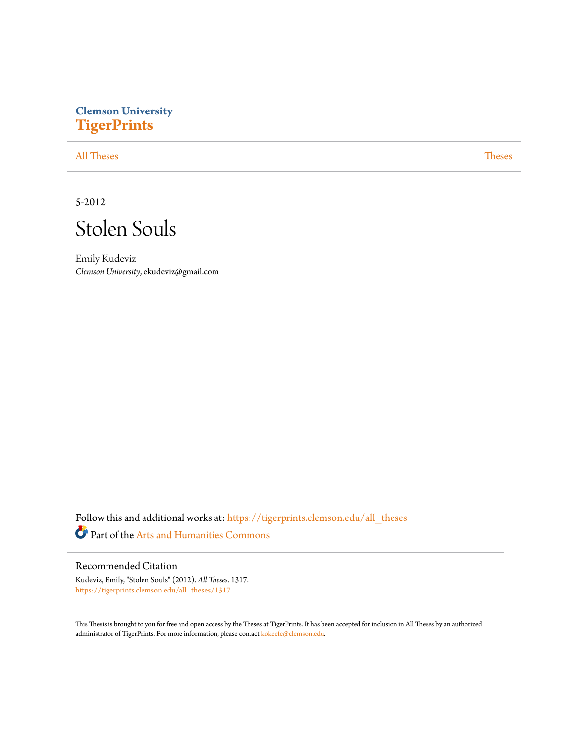# **Clemson University [TigerPrints](https://tigerprints.clemson.edu?utm_source=tigerprints.clemson.edu%2Fall_theses%2F1317&utm_medium=PDF&utm_campaign=PDFCoverPages)**

[All Theses](https://tigerprints.clemson.edu/all_theses?utm_source=tigerprints.clemson.edu%2Fall_theses%2F1317&utm_medium=PDF&utm_campaign=PDFCoverPages) **[Theses](https://tigerprints.clemson.edu/theses?utm_source=tigerprints.clemson.edu%2Fall_theses%2F1317&utm_medium=PDF&utm_campaign=PDFCoverPages)** 

5-2012



Emily Kudeviz *Clemson University*, ekudeviz@gmail.com

Follow this and additional works at: [https://tigerprints.clemson.edu/all\\_theses](https://tigerprints.clemson.edu/all_theses?utm_source=tigerprints.clemson.edu%2Fall_theses%2F1317&utm_medium=PDF&utm_campaign=PDFCoverPages) Part of the [Arts and Humanities Commons](http://network.bepress.com/hgg/discipline/438?utm_source=tigerprints.clemson.edu%2Fall_theses%2F1317&utm_medium=PDF&utm_campaign=PDFCoverPages)

Recommended Citation Kudeviz, Emily, "Stolen Souls" (2012). *All Theses*. 1317.

[https://tigerprints.clemson.edu/all\\_theses/1317](https://tigerprints.clemson.edu/all_theses/1317?utm_source=tigerprints.clemson.edu%2Fall_theses%2F1317&utm_medium=PDF&utm_campaign=PDFCoverPages)

This Thesis is brought to you for free and open access by the Theses at TigerPrints. It has been accepted for inclusion in All Theses by an authorized administrator of TigerPrints. For more information, please contact [kokeefe@clemson.edu](mailto:kokeefe@clemson.edu).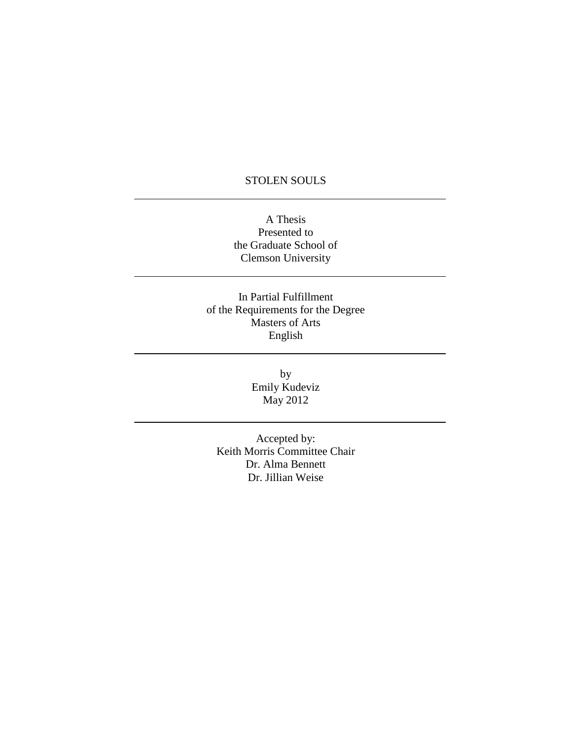## STOLEN SOULS

A Thesis Presented to the Graduate School of Clemson University

In Partial Fulfillment of the Requirements for the Degree Masters of Arts English

> by Emily Kudeviz May 2012

Accepted by: Keith Morris Committee Chair Dr. Alma Bennett Dr. Jillian Weise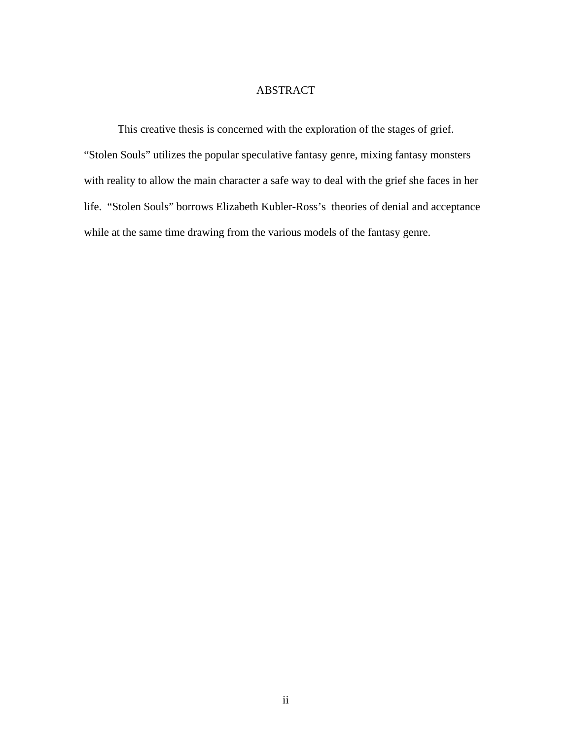## ABSTRACT

This creative thesis is concerned with the exploration of the stages of grief. "Stolen Souls" utilizes the popular speculative fantasy genre, mixing fantasy monsters with reality to allow the main character a safe way to deal with the grief she faces in her life. "Stolen Souls" borrows Elizabeth Kubler-Ross's theories of denial and acceptance while at the same time drawing from the various models of the fantasy genre.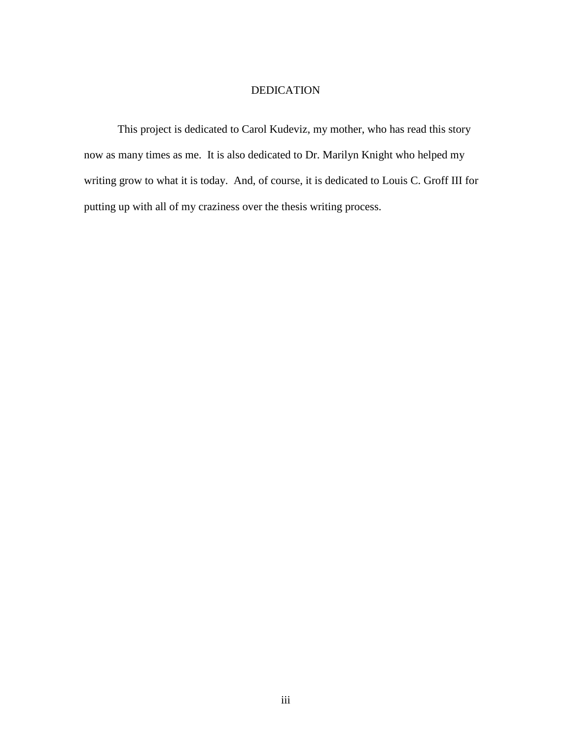## DEDICATION

This project is dedicated to Carol Kudeviz, my mother, who has read this story now as many times as me. It is also dedicated to Dr. Marilyn Knight who helped my writing grow to what it is today. And, of course, it is dedicated to Louis C. Groff III for putting up with all of my craziness over the thesis writing process.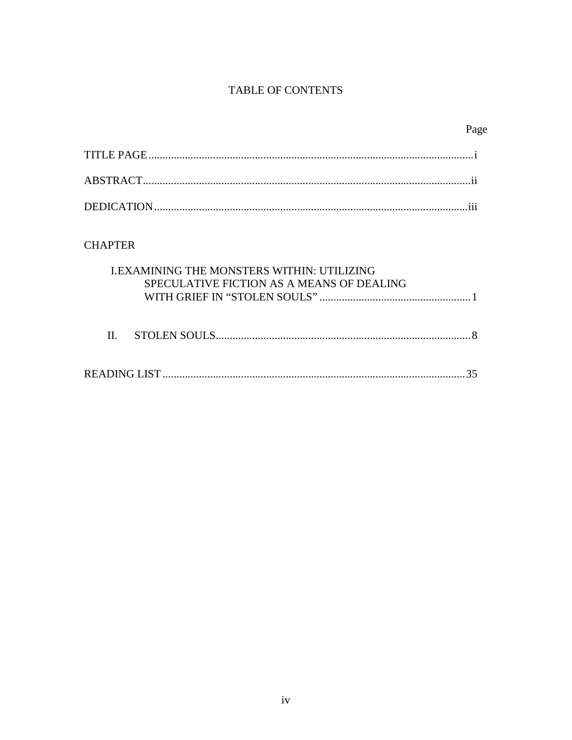## **TABLE OF CONTENTS**

| ×<br>I |
|--------|
|--------|

## **CHAPTER**

| <b>I.EXAMINING THE MONSTERS WITHIN: UTILIZING</b><br>SPECULATIVE FICTION AS A MEANS OF DEALING |  |
|------------------------------------------------------------------------------------------------|--|
|                                                                                                |  |

|--|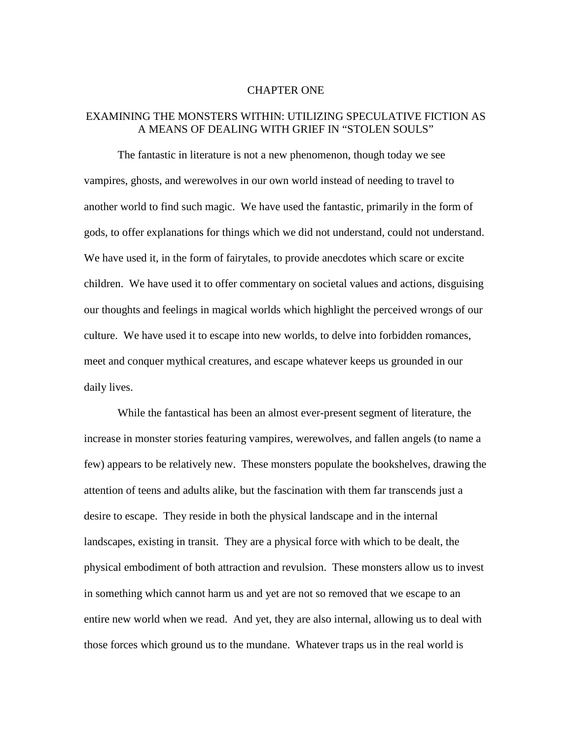#### CHAPTER ONE

### EXAMINING THE MONSTERS WITHIN: UTILIZING SPECULATIVE FICTION AS A MEANS OF DEALING WITH GRIEF IN "STOLEN SOULS"

The fantastic in literature is not a new phenomenon, though today we see vampires, ghosts, and werewolves in our own world instead of needing to travel to another world to find such magic. We have used the fantastic, primarily in the form of gods, to offer explanations for things which we did not understand, could not understand. We have used it, in the form of fairytales, to provide anecdotes which scare or excite children. We have used it to offer commentary on societal values and actions, disguising our thoughts and feelings in magical worlds which highlight the perceived wrongs of our culture. We have used it to escape into new worlds, to delve into forbidden romances, meet and conquer mythical creatures, and escape whatever keeps us grounded in our daily lives.

While the fantastical has been an almost ever-present segment of literature, the increase in monster stories featuring vampires, werewolves, and fallen angels (to name a few) appears to be relatively new. These monsters populate the bookshelves, drawing the attention of teens and adults alike, but the fascination with them far transcends just a desire to escape. They reside in both the physical landscape and in the internal landscapes, existing in transit. They are a physical force with which to be dealt, the physical embodiment of both attraction and revulsion. These monsters allow us to invest in something which cannot harm us and yet are not so removed that we escape to an entire new world when we read. And yet, they are also internal, allowing us to deal with those forces which ground us to the mundane. Whatever traps us in the real world is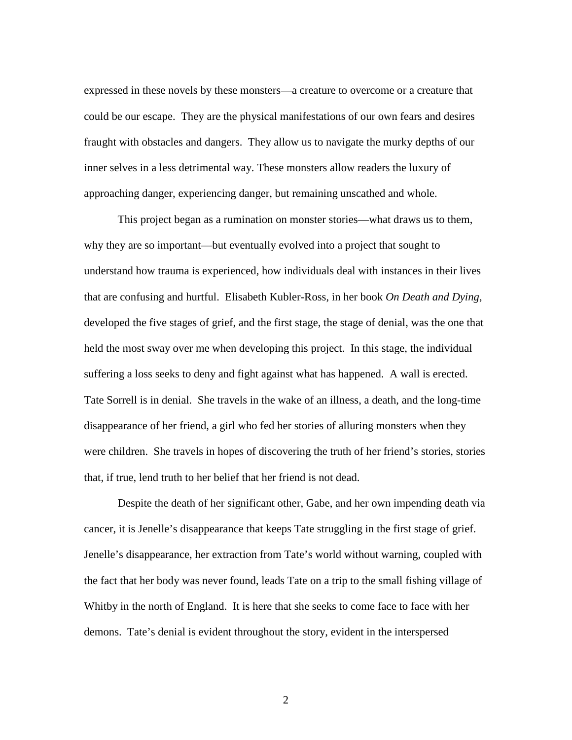expressed in these novels by these monsters—a creature to overcome or a creature that could be our escape. They are the physical manifestations of our own fears and desires fraught with obstacles and dangers. They allow us to navigate the murky depths of our inner selves in a less detrimental way. These monsters allow readers the luxury of approaching danger, experiencing danger, but remaining unscathed and whole.

This project began as a rumination on monster stories—what draws us to them, why they are so important—but eventually evolved into a project that sought to understand how trauma is experienced, how individuals deal with instances in their lives that are confusing and hurtful. Elisabeth Kubler-Ross, in her book *On Death and Dying*, developed the five stages of grief, and the first stage, the stage of denial, was the one that held the most sway over me when developing this project. In this stage, the individual suffering a loss seeks to deny and fight against what has happened. A wall is erected. Tate Sorrell is in denial. She travels in the wake of an illness, a death, and the long-time disappearance of her friend, a girl who fed her stories of alluring monsters when they were children. She travels in hopes of discovering the truth of her friend's stories, stories that, if true, lend truth to her belief that her friend is not dead.

 Despite the death of her significant other, Gabe, and her own impending death via cancer, it is Jenelle's disappearance that keeps Tate struggling in the first stage of grief. Jenelle's disappearance, her extraction from Tate's world without warning, coupled with the fact that her body was never found, leads Tate on a trip to the small fishing village of Whitby in the north of England. It is here that she seeks to come face to face with her demons. Tate's denial is evident throughout the story, evident in the interspersed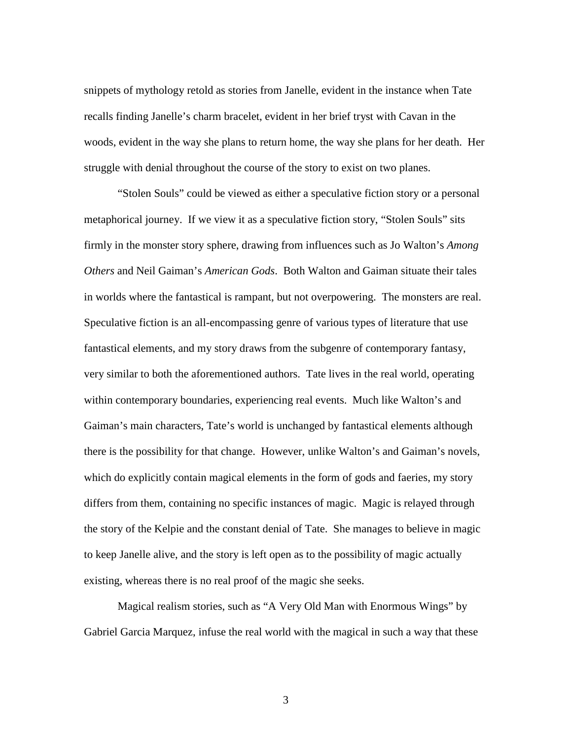snippets of mythology retold as stories from Janelle, evident in the instance when Tate recalls finding Janelle's charm bracelet, evident in her brief tryst with Cavan in the woods, evident in the way she plans to return home, the way she plans for her death. Her struggle with denial throughout the course of the story to exist on two planes.

 "Stolen Souls" could be viewed as either a speculative fiction story or a personal metaphorical journey. If we view it as a speculative fiction story, "Stolen Souls" sits firmly in the monster story sphere, drawing from influences such as Jo Walton's *Among Others* and Neil Gaiman's *American Gods*. Both Walton and Gaiman situate their tales in worlds where the fantastical is rampant, but not overpowering. The monsters are real. Speculative fiction is an all-encompassing genre of various types of literature that use fantastical elements, and my story draws from the subgenre of contemporary fantasy, very similar to both the aforementioned authors. Tate lives in the real world, operating within contemporary boundaries, experiencing real events. Much like Walton's and Gaiman's main characters, Tate's world is unchanged by fantastical elements although there is the possibility for that change. However, unlike Walton's and Gaiman's novels, which do explicitly contain magical elements in the form of gods and faeries, my story differs from them, containing no specific instances of magic. Magic is relayed through the story of the Kelpie and the constant denial of Tate. She manages to believe in magic to keep Janelle alive, and the story is left open as to the possibility of magic actually existing, whereas there is no real proof of the magic she seeks.

 Magical realism stories, such as "A Very Old Man with Enormous Wings" by Gabriel Garcia Marquez, infuse the real world with the magical in such a way that these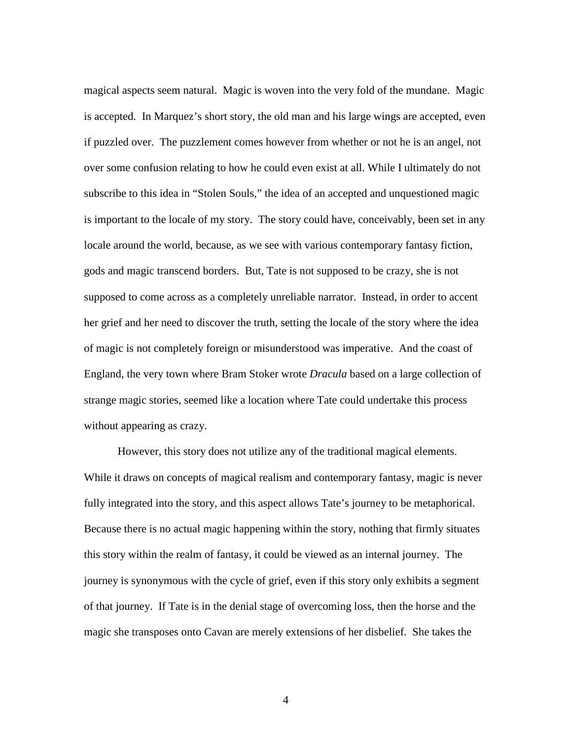magical aspects seem natural. Magic is woven into the very fold of the mundane. Magic is accepted. In Marquez's short story, the old man and his large wings are accepted, even if puzzled over. The puzzlement comes however from whether or not he is an angel, not over some confusion relating to how he could even exist at all. While I ultimately do not subscribe to this idea in "Stolen Souls," the idea of an accepted and unquestioned magic is important to the locale of my story. The story could have, conceivably, been set in any locale around the world, because, as we see with various contemporary fantasy fiction, gods and magic transcend borders. But, Tate is not supposed to be crazy, she is not supposed to come across as a completely unreliable narrator. Instead, in order to accent her grief and her need to discover the truth, setting the locale of the story where the idea of magic is not completely foreign or misunderstood was imperative. And the coast of England, the very town where Bram Stoker wrote *Dracula* based on a large collection of strange magic stories, seemed like a location where Tate could undertake this process without appearing as crazy.

 However, this story does not utilize any of the traditional magical elements. While it draws on concepts of magical realism and contemporary fantasy, magic is never fully integrated into the story, and this aspect allows Tate's journey to be metaphorical. Because there is no actual magic happening within the story, nothing that firmly situates this story within the realm of fantasy, it could be viewed as an internal journey. The journey is synonymous with the cycle of grief, even if this story only exhibits a segment of that journey. If Tate is in the denial stage of overcoming loss, then the horse and the magic she transposes onto Cavan are merely extensions of her disbelief. She takes the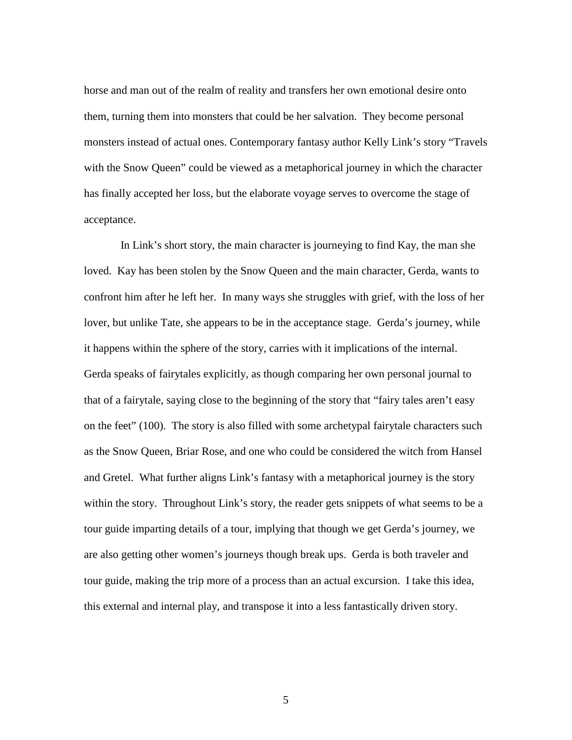horse and man out of the realm of reality and transfers her own emotional desire onto them, turning them into monsters that could be her salvation. They become personal monsters instead of actual ones. Contemporary fantasy author Kelly Link's story "Travels with the Snow Queen" could be viewed as a metaphorical journey in which the character has finally accepted her loss, but the elaborate voyage serves to overcome the stage of acceptance.

 In Link's short story, the main character is journeying to find Kay, the man she loved. Kay has been stolen by the Snow Queen and the main character, Gerda, wants to confront him after he left her. In many ways she struggles with grief, with the loss of her lover, but unlike Tate, she appears to be in the acceptance stage. Gerda's journey, while it happens within the sphere of the story, carries with it implications of the internal. Gerda speaks of fairytales explicitly, as though comparing her own personal journal to that of a fairytale, saying close to the beginning of the story that "fairy tales aren't easy on the feet" (100). The story is also filled with some archetypal fairytale characters such as the Snow Queen, Briar Rose, and one who could be considered the witch from Hansel and Gretel. What further aligns Link's fantasy with a metaphorical journey is the story within the story. Throughout Link's story, the reader gets snippets of what seems to be a tour guide imparting details of a tour, implying that though we get Gerda's journey, we are also getting other women's journeys though break ups. Gerda is both traveler and tour guide, making the trip more of a process than an actual excursion. I take this idea, this external and internal play, and transpose it into a less fantastically driven story.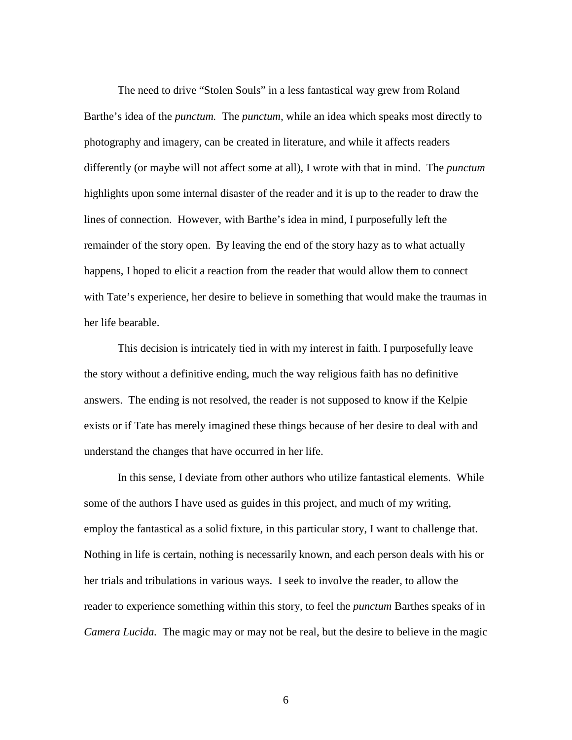The need to drive "Stolen Souls" in a less fantastical way grew from Roland Barthe's idea of the *punctum.* The *punctum,* while an idea which speaks most directly to photography and imagery, can be created in literature, and while it affects readers differently (or maybe will not affect some at all), I wrote with that in mind. The *punctum* highlights upon some internal disaster of the reader and it is up to the reader to draw the lines of connection. However, with Barthe's idea in mind, I purposefully left the remainder of the story open. By leaving the end of the story hazy as to what actually happens, I hoped to elicit a reaction from the reader that would allow them to connect with Tate's experience, her desire to believe in something that would make the traumas in her life bearable.

This decision is intricately tied in with my interest in faith. I purposefully leave the story without a definitive ending, much the way religious faith has no definitive answers. The ending is not resolved, the reader is not supposed to know if the Kelpie exists or if Tate has merely imagined these things because of her desire to deal with and understand the changes that have occurred in her life.

In this sense, I deviate from other authors who utilize fantastical elements. While some of the authors I have used as guides in this project, and much of my writing, employ the fantastical as a solid fixture, in this particular story, I want to challenge that. Nothing in life is certain, nothing is necessarily known, and each person deals with his or her trials and tribulations in various ways. I seek to involve the reader, to allow the reader to experience something within this story, to feel the *punctum* Barthes speaks of in *Camera Lucida.* The magic may or may not be real, but the desire to believe in the magic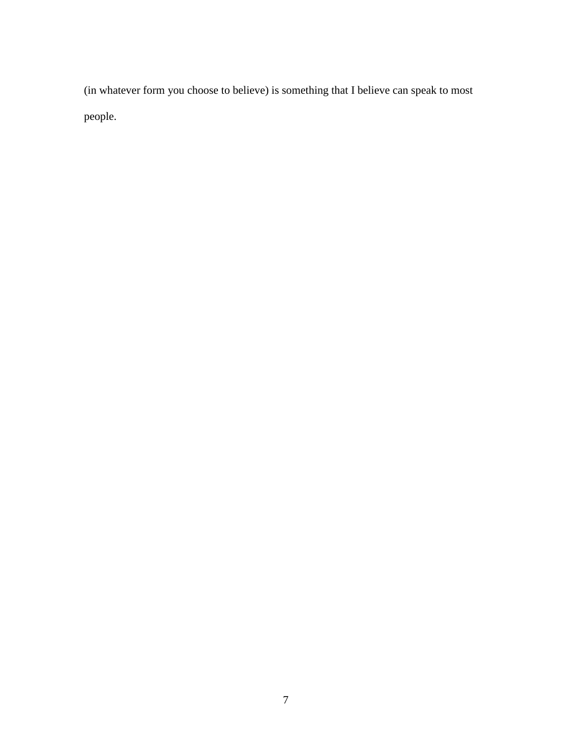(in whatever form you choose to believe) is something that I believe can speak to most people.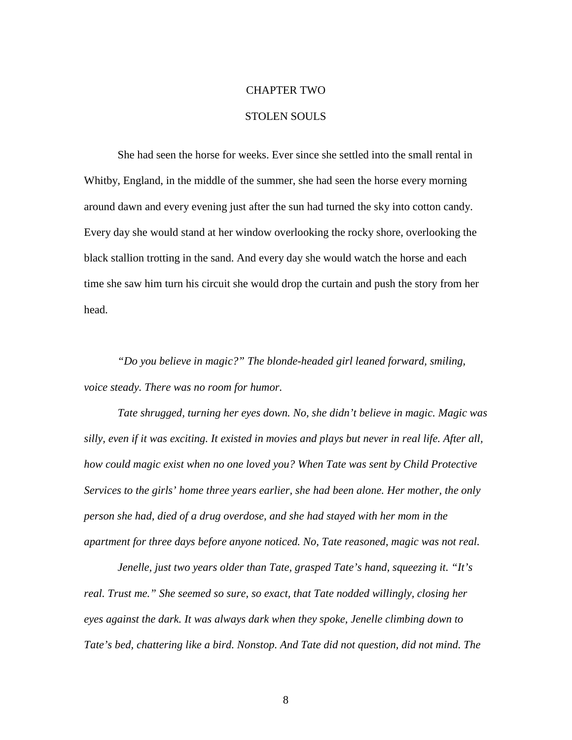# CHAPTER TWO

### STOLEN SOULS

She had seen the horse for weeks. Ever since she settled into the small rental in Whitby, England, in the middle of the summer, she had seen the horse every morning around dawn and every evening just after the sun had turned the sky into cotton candy. Every day she would stand at her window overlooking the rocky shore, overlooking the black stallion trotting in the sand. And every day she would watch the horse and each time she saw him turn his circuit she would drop the curtain and push the story from her head.

*"Do you believe in magic?" The blonde-headed girl leaned forward, smiling, voice steady. There was no room for humor.* 

*Tate shrugged, turning her eyes down. No, she didn't believe in magic. Magic was silly, even if it was exciting. It existed in movies and plays but never in real life. After all, how could magic exist when no one loved you? When Tate was sent by Child Protective Services to the girls' home three years earlier, she had been alone. Her mother, the only person she had, died of a drug overdose, and she had stayed with her mom in the apartment for three days before anyone noticed. No, Tate reasoned, magic was not real.* 

*Jenelle, just two years older than Tate, grasped Tate's hand, squeezing it. "It's real. Trust me." She seemed so sure, so exact, that Tate nodded willingly, closing her eyes against the dark. It was always dark when they spoke, Jenelle climbing down to Tate's bed, chattering like a bird. Nonstop. And Tate did not question, did not mind. The*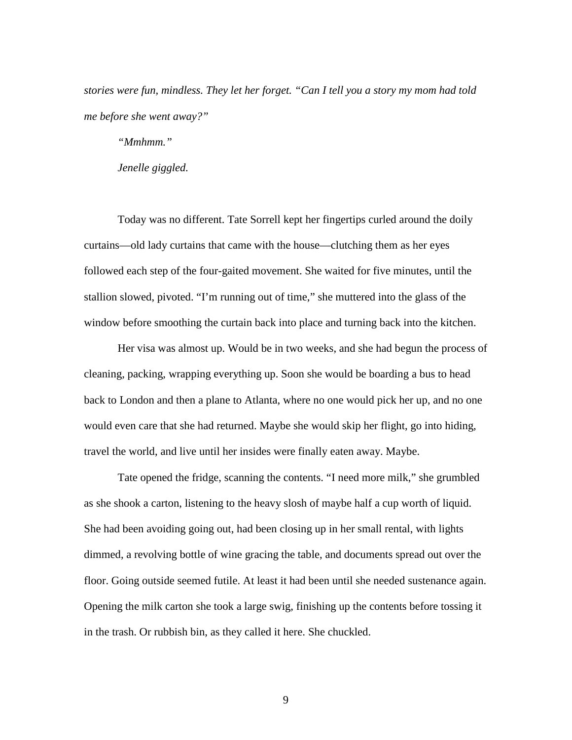*stories were fun, mindless. They let her forget. "Can I tell you a story my mom had told me before she went away?"* 

*"Mmhmm."* 

*Jenelle giggled.* 

Today was no different. Tate Sorrell kept her fingertips curled around the doily curtains—old lady curtains that came with the house—clutching them as her eyes followed each step of the four-gaited movement. She waited for five minutes, until the stallion slowed, pivoted. "I'm running out of time," she muttered into the glass of the window before smoothing the curtain back into place and turning back into the kitchen.

Her visa was almost up. Would be in two weeks, and she had begun the process of cleaning, packing, wrapping everything up. Soon she would be boarding a bus to head back to London and then a plane to Atlanta, where no one would pick her up, and no one would even care that she had returned. Maybe she would skip her flight, go into hiding, travel the world, and live until her insides were finally eaten away. Maybe.

Tate opened the fridge, scanning the contents. "I need more milk," she grumbled as she shook a carton, listening to the heavy slosh of maybe half a cup worth of liquid. She had been avoiding going out, had been closing up in her small rental, with lights dimmed, a revolving bottle of wine gracing the table, and documents spread out over the floor. Going outside seemed futile. At least it had been until she needed sustenance again. Opening the milk carton she took a large swig, finishing up the contents before tossing it in the trash. Or rubbish bin, as they called it here. She chuckled.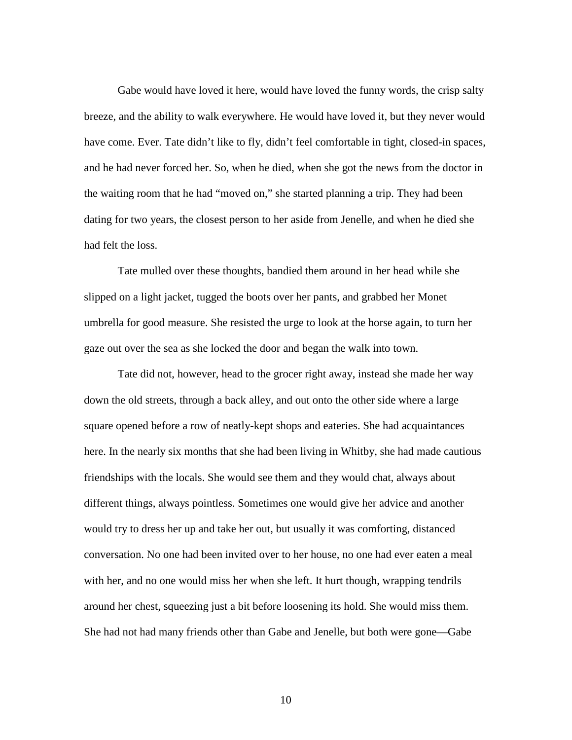Gabe would have loved it here, would have loved the funny words, the crisp salty breeze, and the ability to walk everywhere. He would have loved it, but they never would have come. Ever. Tate didn't like to fly, didn't feel comfortable in tight, closed-in spaces, and he had never forced her. So, when he died, when she got the news from the doctor in the waiting room that he had "moved on," she started planning a trip. They had been dating for two years, the closest person to her aside from Jenelle, and when he died she had felt the loss.

Tate mulled over these thoughts, bandied them around in her head while she slipped on a light jacket, tugged the boots over her pants, and grabbed her Monet umbrella for good measure. She resisted the urge to look at the horse again, to turn her gaze out over the sea as she locked the door and began the walk into town.

Tate did not, however, head to the grocer right away, instead she made her way down the old streets, through a back alley, and out onto the other side where a large square opened before a row of neatly-kept shops and eateries. She had acquaintances here. In the nearly six months that she had been living in Whitby, she had made cautious friendships with the locals. She would see them and they would chat, always about different things, always pointless. Sometimes one would give her advice and another would try to dress her up and take her out, but usually it was comforting, distanced conversation. No one had been invited over to her house, no one had ever eaten a meal with her, and no one would miss her when she left. It hurt though, wrapping tendrils around her chest, squeezing just a bit before loosening its hold. She would miss them. She had not had many friends other than Gabe and Jenelle, but both were gone—Gabe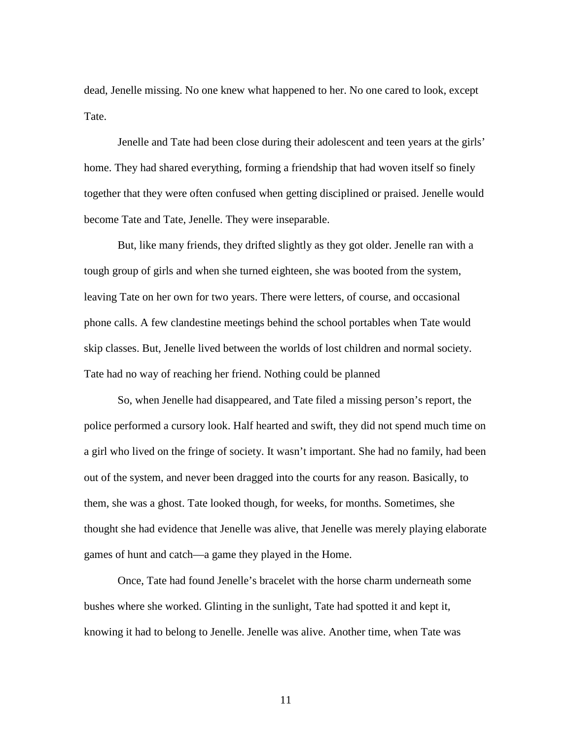dead, Jenelle missing. No one knew what happened to her. No one cared to look, except Tate.

Jenelle and Tate had been close during their adolescent and teen years at the girls' home. They had shared everything, forming a friendship that had woven itself so finely together that they were often confused when getting disciplined or praised. Jenelle would become Tate and Tate, Jenelle. They were inseparable.

But, like many friends, they drifted slightly as they got older. Jenelle ran with a tough group of girls and when she turned eighteen, she was booted from the system, leaving Tate on her own for two years. There were letters, of course, and occasional phone calls. A few clandestine meetings behind the school portables when Tate would skip classes. But, Jenelle lived between the worlds of lost children and normal society. Tate had no way of reaching her friend. Nothing could be planned

So, when Jenelle had disappeared, and Tate filed a missing person's report, the police performed a cursory look. Half hearted and swift, they did not spend much time on a girl who lived on the fringe of society. It wasn't important. She had no family, had been out of the system, and never been dragged into the courts for any reason. Basically, to them, she was a ghost. Tate looked though, for weeks, for months. Sometimes, she thought she had evidence that Jenelle was alive, that Jenelle was merely playing elaborate games of hunt and catch—a game they played in the Home.

Once, Tate had found Jenelle's bracelet with the horse charm underneath some bushes where she worked. Glinting in the sunlight, Tate had spotted it and kept it, knowing it had to belong to Jenelle. Jenelle was alive. Another time, when Tate was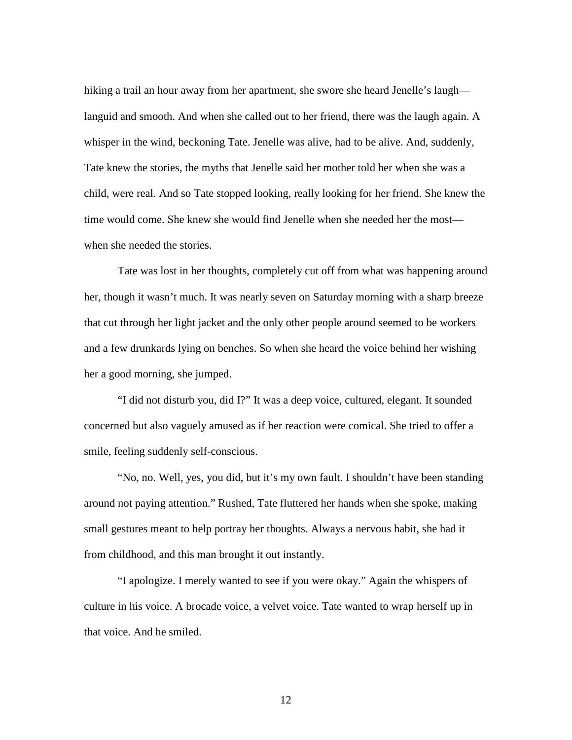hiking a trail an hour away from her apartment, she swore she heard Jenelle's laugh languid and smooth. And when she called out to her friend, there was the laugh again. A whisper in the wind, beckoning Tate. Jenelle was alive, had to be alive. And, suddenly, Tate knew the stories, the myths that Jenelle said her mother told her when she was a child, were real. And so Tate stopped looking, really looking for her friend. She knew the time would come. She knew she would find Jenelle when she needed her the most when she needed the stories.

Tate was lost in her thoughts, completely cut off from what was happening around her, though it wasn't much. It was nearly seven on Saturday morning with a sharp breeze that cut through her light jacket and the only other people around seemed to be workers and a few drunkards lying on benches. So when she heard the voice behind her wishing her a good morning, she jumped.

"I did not disturb you, did I?" It was a deep voice, cultured, elegant. It sounded concerned but also vaguely amused as if her reaction were comical. She tried to offer a smile, feeling suddenly self-conscious.

"No, no. Well, yes, you did, but it's my own fault. I shouldn't have been standing around not paying attention." Rushed, Tate fluttered her hands when she spoke, making small gestures meant to help portray her thoughts. Always a nervous habit, she had it from childhood, and this man brought it out instantly.

"I apologize. I merely wanted to see if you were okay." Again the whispers of culture in his voice. A brocade voice, a velvet voice. Tate wanted to wrap herself up in that voice. And he smiled.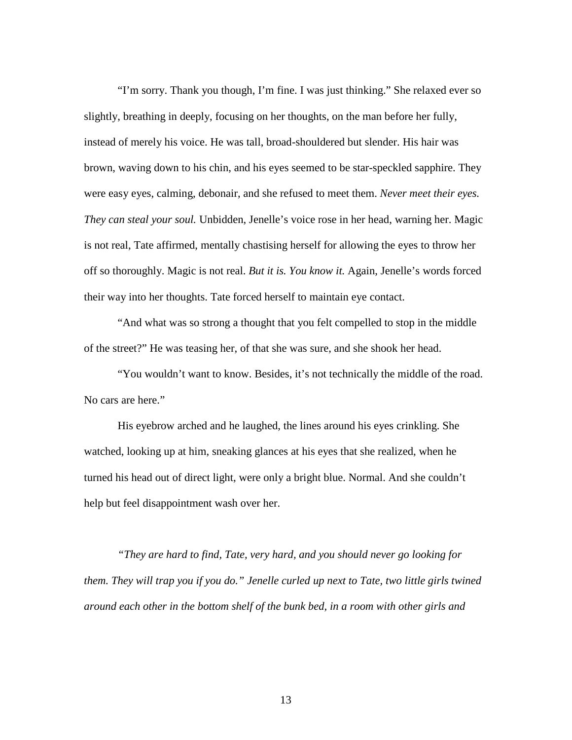"I'm sorry. Thank you though, I'm fine. I was just thinking." She relaxed ever so slightly, breathing in deeply, focusing on her thoughts, on the man before her fully, instead of merely his voice. He was tall, broad-shouldered but slender. His hair was brown, waving down to his chin, and his eyes seemed to be star-speckled sapphire. They were easy eyes, calming, debonair, and she refused to meet them. *Never meet their eyes. They can steal your soul.* Unbidden, Jenelle's voice rose in her head, warning her. Magic is not real, Tate affirmed, mentally chastising herself for allowing the eyes to throw her off so thoroughly. Magic is not real. *But it is. You know it.* Again, Jenelle's words forced their way into her thoughts. Tate forced herself to maintain eye contact.

"And what was so strong a thought that you felt compelled to stop in the middle of the street?" He was teasing her, of that she was sure, and she shook her head.

"You wouldn't want to know. Besides, it's not technically the middle of the road. No cars are here."

His eyebrow arched and he laughed, the lines around his eyes crinkling. She watched, looking up at him, sneaking glances at his eyes that she realized, when he turned his head out of direct light, were only a bright blue. Normal. And she couldn't help but feel disappointment wash over her.

*"They are hard to find, Tate, very hard, and you should never go looking for them. They will trap you if you do." Jenelle curled up next to Tate, two little girls twined around each other in the bottom shelf of the bunk bed, in a room with other girls and*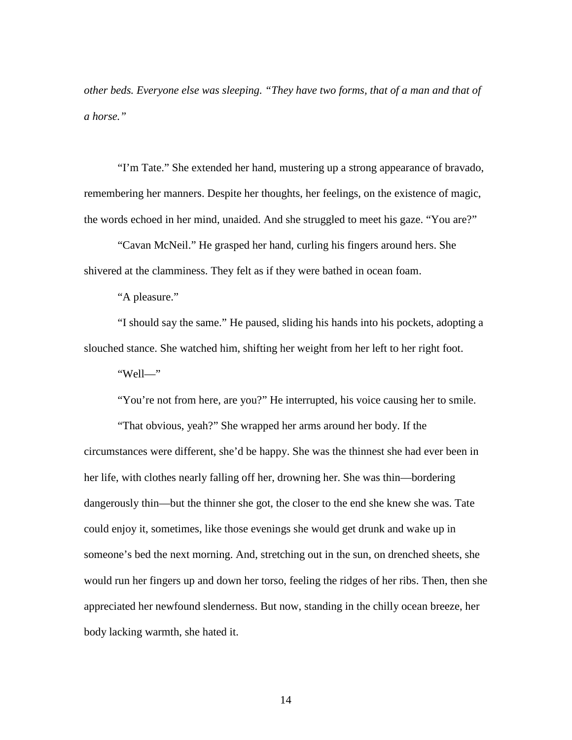*other beds. Everyone else was sleeping. "They have two forms, that of a man and that of a horse."* 

"I'm Tate." She extended her hand, mustering up a strong appearance of bravado, remembering her manners. Despite her thoughts, her feelings, on the existence of magic, the words echoed in her mind, unaided. And she struggled to meet his gaze. "You are?"

"Cavan McNeil." He grasped her hand, curling his fingers around hers. She shivered at the clamminess. They felt as if they were bathed in ocean foam.

"A pleasure."

"I should say the same." He paused, sliding his hands into his pockets, adopting a slouched stance. She watched him, shifting her weight from her left to her right foot.

"Well—"

"You're not from here, are you?" He interrupted, his voice causing her to smile.

"That obvious, yeah?" She wrapped her arms around her body. If the circumstances were different, she'd be happy. She was the thinnest she had ever been in her life, with clothes nearly falling off her, drowning her. She was thin—bordering dangerously thin—but the thinner she got, the closer to the end she knew she was. Tate could enjoy it, sometimes, like those evenings she would get drunk and wake up in someone's bed the next morning. And, stretching out in the sun, on drenched sheets, she would run her fingers up and down her torso, feeling the ridges of her ribs. Then, then she appreciated her newfound slenderness. But now, standing in the chilly ocean breeze, her body lacking warmth, she hated it.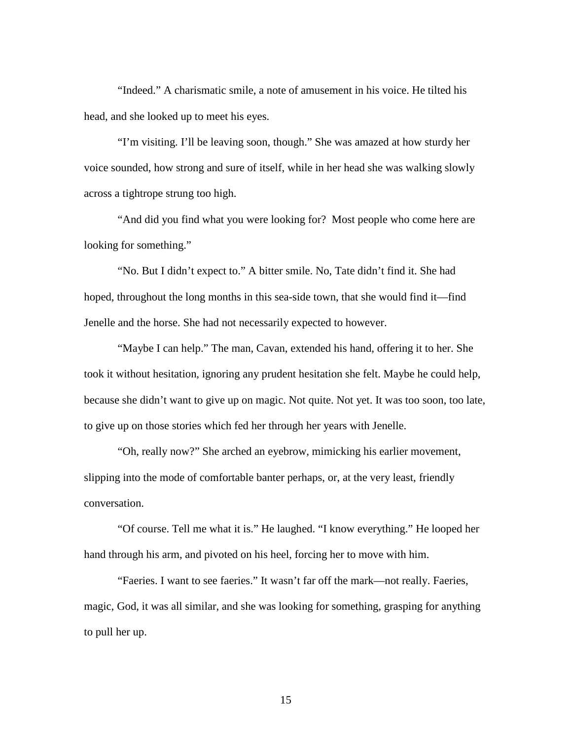"Indeed." A charismatic smile, a note of amusement in his voice. He tilted his head, and she looked up to meet his eyes.

"I'm visiting. I'll be leaving soon, though." She was amazed at how sturdy her voice sounded, how strong and sure of itself, while in her head she was walking slowly across a tightrope strung too high.

"And did you find what you were looking for? Most people who come here are looking for something."

"No. But I didn't expect to." A bitter smile. No, Tate didn't find it. She had hoped, throughout the long months in this sea-side town, that she would find it—find Jenelle and the horse. She had not necessarily expected to however.

"Maybe I can help." The man, Cavan, extended his hand, offering it to her. She took it without hesitation, ignoring any prudent hesitation she felt. Maybe he could help, because she didn't want to give up on magic. Not quite. Not yet. It was too soon, too late, to give up on those stories which fed her through her years with Jenelle.

"Oh, really now?" She arched an eyebrow, mimicking his earlier movement, slipping into the mode of comfortable banter perhaps, or, at the very least, friendly conversation.

"Of course. Tell me what it is." He laughed. "I know everything." He looped her hand through his arm, and pivoted on his heel, forcing her to move with him.

"Faeries. I want to see faeries." It wasn't far off the mark—not really. Faeries, magic, God, it was all similar, and she was looking for something, grasping for anything to pull her up.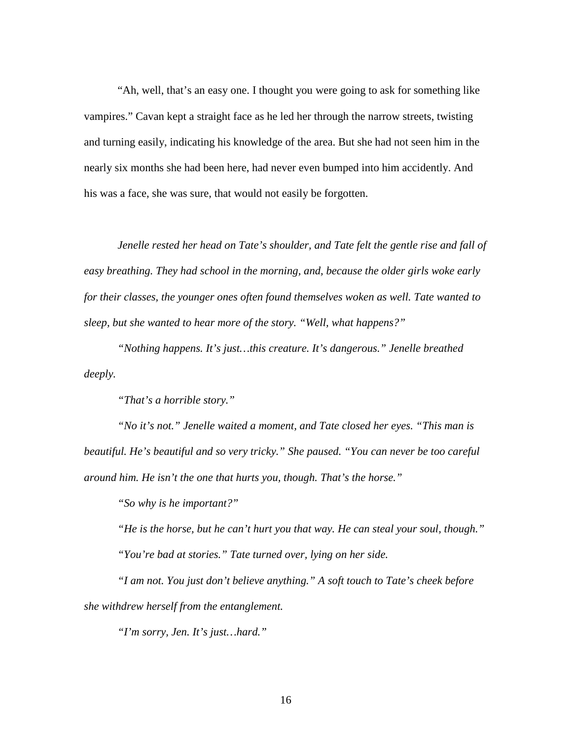"Ah, well, that's an easy one. I thought you were going to ask for something like vampires." Cavan kept a straight face as he led her through the narrow streets, twisting and turning easily, indicating his knowledge of the area. But she had not seen him in the nearly six months she had been here, had never even bumped into him accidently. And his was a face, she was sure, that would not easily be forgotten.

*Jenelle rested her head on Tate's shoulder, and Tate felt the gentle rise and fall of easy breathing. They had school in the morning, and, because the older girls woke early for their classes, the younger ones often found themselves woken as well. Tate wanted to sleep, but she wanted to hear more of the story. "Well, what happens?"* 

*"Nothing happens. It's just…this creature. It's dangerous." Jenelle breathed deeply.* 

*"That's a horrible story."* 

*"No it's not." Jenelle waited a moment, and Tate closed her eyes. "This man is beautiful. He's beautiful and so very tricky." She paused. "You can never be too careful around him. He isn't the one that hurts you, though. That's the horse."* 

*"So why is he important?"* 

*"He is the horse, but he can't hurt you that way. He can steal your soul, though." "You're bad at stories." Tate turned over, lying on her side.* 

*"I am not. You just don't believe anything." A soft touch to Tate's cheek before she withdrew herself from the entanglement.* 

*"I'm sorry, Jen. It's just…hard."*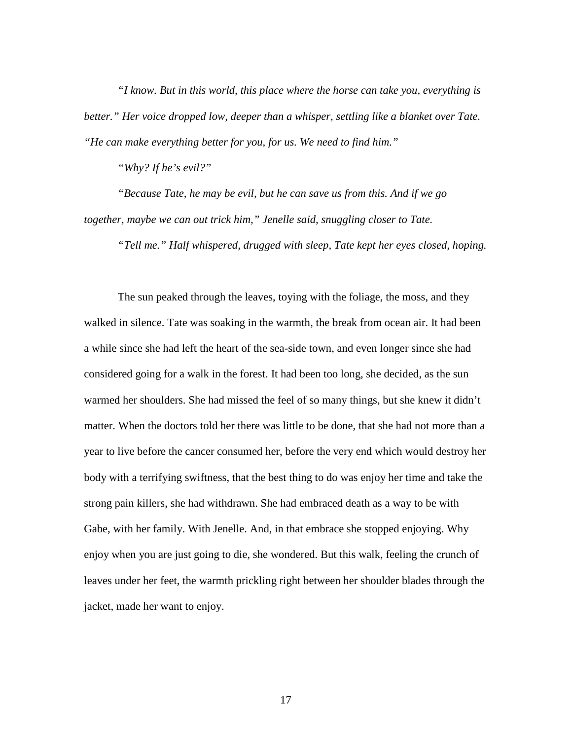*"I know. But in this world, this place where the horse can take you, everything is better." Her voice dropped low, deeper than a whisper, settling like a blanket over Tate. "He can make everything better for you, for us. We need to find him."* 

*"Why? If he's evil?"* 

*"Because Tate, he may be evil, but he can save us from this. And if we go together, maybe we can out trick him," Jenelle said, snuggling closer to Tate.* 

*"Tell me." Half whispered, drugged with sleep, Tate kept her eyes closed, hoping.* 

The sun peaked through the leaves, toying with the foliage, the moss, and they walked in silence. Tate was soaking in the warmth, the break from ocean air. It had been a while since she had left the heart of the sea-side town, and even longer since she had considered going for a walk in the forest. It had been too long, she decided, as the sun warmed her shoulders. She had missed the feel of so many things, but she knew it didn't matter. When the doctors told her there was little to be done, that she had not more than a year to live before the cancer consumed her, before the very end which would destroy her body with a terrifying swiftness, that the best thing to do was enjoy her time and take the strong pain killers, she had withdrawn. She had embraced death as a way to be with Gabe, with her family. With Jenelle. And, in that embrace she stopped enjoying. Why enjoy when you are just going to die, she wondered. But this walk, feeling the crunch of leaves under her feet, the warmth prickling right between her shoulder blades through the jacket, made her want to enjoy.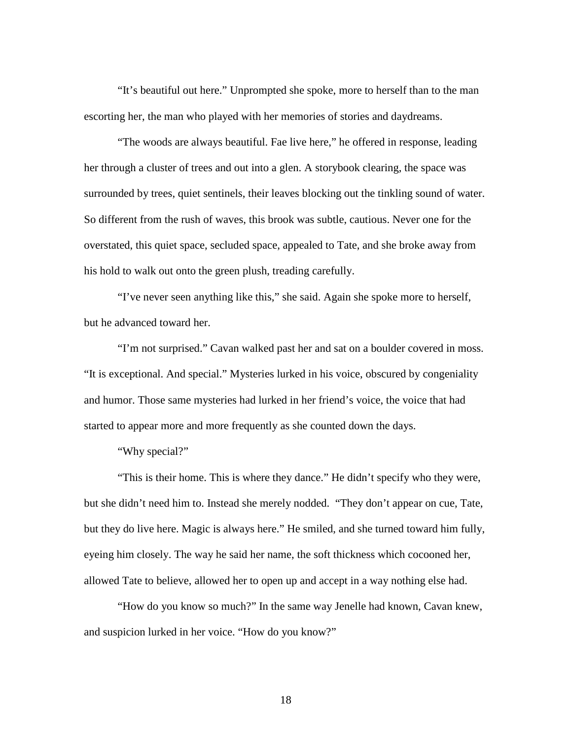"It's beautiful out here." Unprompted she spoke, more to herself than to the man escorting her, the man who played with her memories of stories and daydreams.

"The woods are always beautiful. Fae live here," he offered in response, leading her through a cluster of trees and out into a glen. A storybook clearing, the space was surrounded by trees, quiet sentinels, their leaves blocking out the tinkling sound of water. So different from the rush of waves, this brook was subtle, cautious. Never one for the overstated, this quiet space, secluded space, appealed to Tate, and she broke away from his hold to walk out onto the green plush, treading carefully.

"I've never seen anything like this," she said. Again she spoke more to herself, but he advanced toward her.

"I'm not surprised." Cavan walked past her and sat on a boulder covered in moss. "It is exceptional. And special." Mysteries lurked in his voice, obscured by congeniality and humor. Those same mysteries had lurked in her friend's voice, the voice that had started to appear more and more frequently as she counted down the days.

"Why special?"

"This is their home. This is where they dance." He didn't specify who they were, but she didn't need him to. Instead she merely nodded. "They don't appear on cue, Tate, but they do live here. Magic is always here." He smiled, and she turned toward him fully, eyeing him closely. The way he said her name, the soft thickness which cocooned her, allowed Tate to believe, allowed her to open up and accept in a way nothing else had.

"How do you know so much?" In the same way Jenelle had known, Cavan knew, and suspicion lurked in her voice. "How do you know?"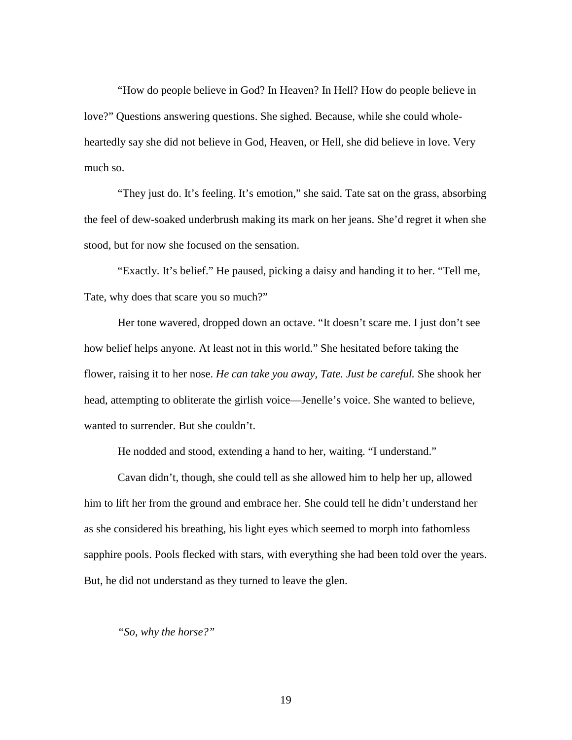"How do people believe in God? In Heaven? In Hell? How do people believe in love?" Questions answering questions. She sighed. Because, while she could wholeheartedly say she did not believe in God, Heaven, or Hell, she did believe in love. Very much so.

"They just do. It's feeling. It's emotion," she said. Tate sat on the grass, absorbing the feel of dew-soaked underbrush making its mark on her jeans. She'd regret it when she stood, but for now she focused on the sensation.

"Exactly. It's belief." He paused, picking a daisy and handing it to her. "Tell me, Tate, why does that scare you so much?"

Her tone wavered, dropped down an octave. "It doesn't scare me. I just don't see how belief helps anyone. At least not in this world." She hesitated before taking the flower, raising it to her nose. *He can take you away, Tate. Just be careful.* She shook her head, attempting to obliterate the girlish voice—Jenelle's voice. She wanted to believe, wanted to surrender. But she couldn't.

He nodded and stood, extending a hand to her, waiting. "I understand."

Cavan didn't, though, she could tell as she allowed him to help her up, allowed him to lift her from the ground and embrace her. She could tell he didn't understand her as she considered his breathing, his light eyes which seemed to morph into fathomless sapphire pools. Pools flecked with stars, with everything she had been told over the years. But, he did not understand as they turned to leave the glen.

#### *"So, why the horse?"*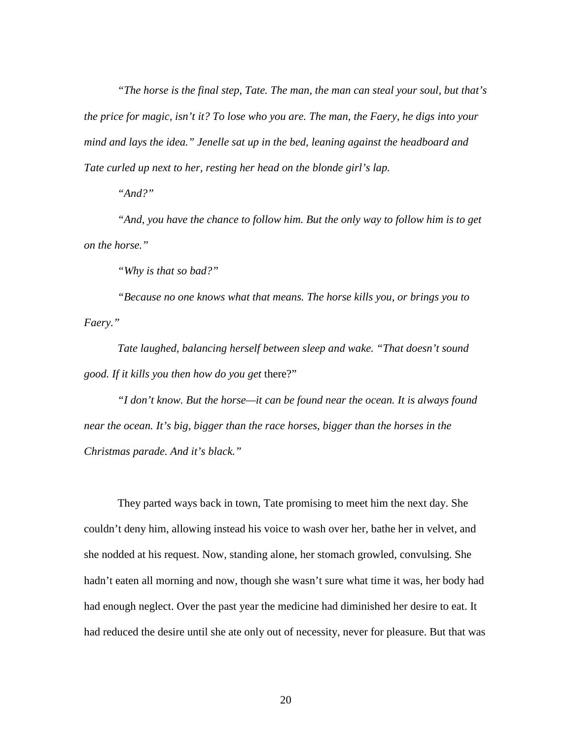*"The horse is the final step, Tate. The man, the man can steal your soul, but that's the price for magic, isn't it? To lose who you are. The man, the Faery, he digs into your mind and lays the idea." Jenelle sat up in the bed, leaning against the headboard and Tate curled up next to her, resting her head on the blonde girl's lap.* 

*"And?"* 

*"And, you have the chance to follow him. But the only way to follow him is to get on the horse."* 

*"Why is that so bad?"* 

*"Because no one knows what that means. The horse kills you, or brings you to Faery."* 

*Tate laughed, balancing herself between sleep and wake. "That doesn't sound good. If it kills you then how do you get* there?"

*"I don't know. But the horse—it can be found near the ocean. It is always found near the ocean. It's big, bigger than the race horses, bigger than the horses in the Christmas parade. And it's black."* 

They parted ways back in town, Tate promising to meet him the next day. She couldn't deny him, allowing instead his voice to wash over her, bathe her in velvet, and she nodded at his request. Now, standing alone, her stomach growled, convulsing. She hadn't eaten all morning and now, though she wasn't sure what time it was, her body had had enough neglect. Over the past year the medicine had diminished her desire to eat. It had reduced the desire until she ate only out of necessity, never for pleasure. But that was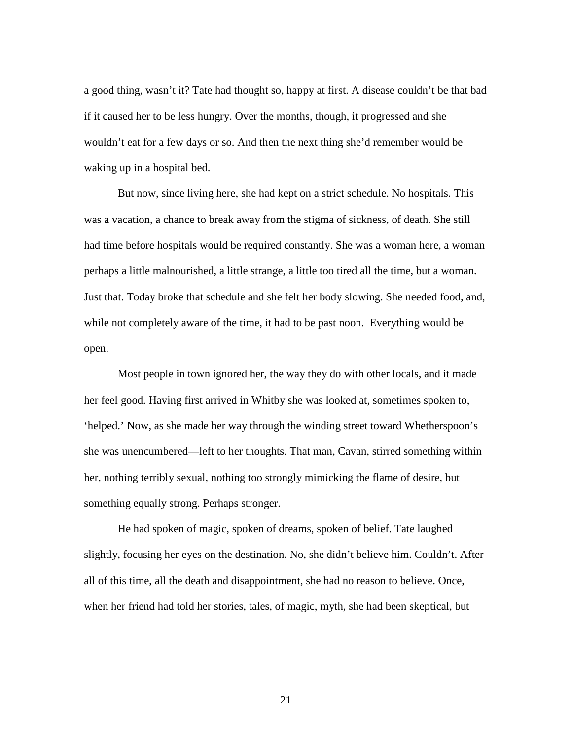a good thing, wasn't it? Tate had thought so, happy at first. A disease couldn't be that bad if it caused her to be less hungry. Over the months, though, it progressed and she wouldn't eat for a few days or so. And then the next thing she'd remember would be waking up in a hospital bed.

But now, since living here, she had kept on a strict schedule. No hospitals. This was a vacation, a chance to break away from the stigma of sickness, of death. She still had time before hospitals would be required constantly. She was a woman here, a woman perhaps a little malnourished, a little strange, a little too tired all the time, but a woman. Just that. Today broke that schedule and she felt her body slowing. She needed food, and, while not completely aware of the time, it had to be past noon. Everything would be open.

Most people in town ignored her, the way they do with other locals, and it made her feel good. Having first arrived in Whitby she was looked at, sometimes spoken to, 'helped.' Now, as she made her way through the winding street toward Whetherspoon's she was unencumbered—left to her thoughts. That man, Cavan, stirred something within her, nothing terribly sexual, nothing too strongly mimicking the flame of desire, but something equally strong. Perhaps stronger.

He had spoken of magic, spoken of dreams, spoken of belief. Tate laughed slightly, focusing her eyes on the destination. No, she didn't believe him. Couldn't. After all of this time, all the death and disappointment, she had no reason to believe. Once, when her friend had told her stories, tales, of magic, myth, she had been skeptical, but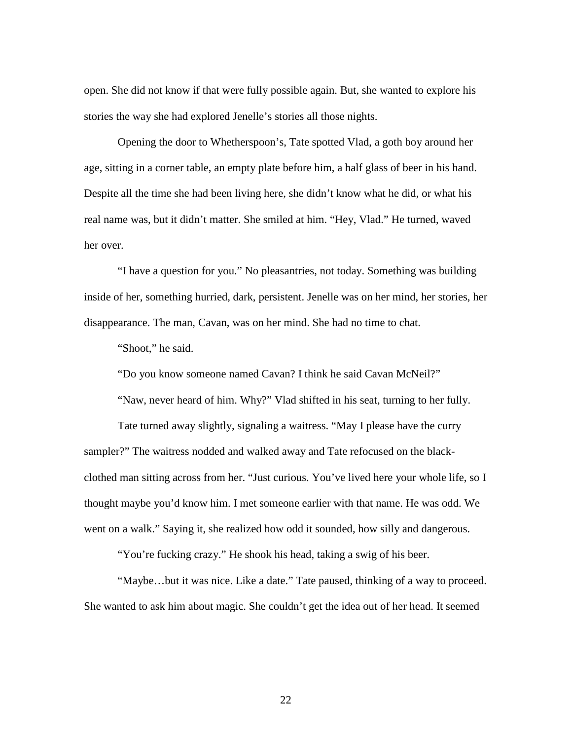open. She did not know if that were fully possible again. But, she wanted to explore his stories the way she had explored Jenelle's stories all those nights.

Opening the door to Whetherspoon's, Tate spotted Vlad, a goth boy around her age, sitting in a corner table, an empty plate before him, a half glass of beer in his hand. Despite all the time she had been living here, she didn't know what he did, or what his real name was, but it didn't matter. She smiled at him. "Hey, Vlad." He turned, waved her over.

"I have a question for you." No pleasantries, not today. Something was building inside of her, something hurried, dark, persistent. Jenelle was on her mind, her stories, her disappearance. The man, Cavan, was on her mind. She had no time to chat.

"Shoot," he said.

"Do you know someone named Cavan? I think he said Cavan McNeil?"

"Naw, never heard of him. Why?" Vlad shifted in his seat, turning to her fully.

Tate turned away slightly, signaling a waitress. "May I please have the curry sampler?" The waitress nodded and walked away and Tate refocused on the blackclothed man sitting across from her. "Just curious. You've lived here your whole life, so I thought maybe you'd know him. I met someone earlier with that name. He was odd. We went on a walk." Saying it, she realized how odd it sounded, how silly and dangerous.

"You're fucking crazy." He shook his head, taking a swig of his beer.

"Maybe…but it was nice. Like a date." Tate paused, thinking of a way to proceed. She wanted to ask him about magic. She couldn't get the idea out of her head. It seemed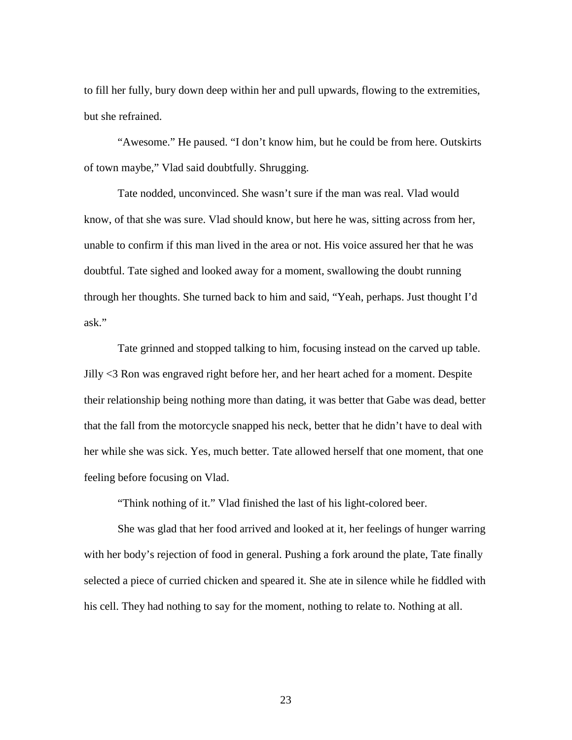to fill her fully, bury down deep within her and pull upwards, flowing to the extremities, but she refrained.

"Awesome." He paused. "I don't know him, but he could be from here. Outskirts of town maybe," Vlad said doubtfully. Shrugging.

Tate nodded, unconvinced. She wasn't sure if the man was real. Vlad would know, of that she was sure. Vlad should know, but here he was, sitting across from her, unable to confirm if this man lived in the area or not. His voice assured her that he was doubtful. Tate sighed and looked away for a moment, swallowing the doubt running through her thoughts. She turned back to him and said, "Yeah, perhaps. Just thought I'd ask."

Tate grinned and stopped talking to him, focusing instead on the carved up table. Jilly <3 Ron was engraved right before her, and her heart ached for a moment. Despite their relationship being nothing more than dating, it was better that Gabe was dead, better that the fall from the motorcycle snapped his neck, better that he didn't have to deal with her while she was sick. Yes, much better. Tate allowed herself that one moment, that one feeling before focusing on Vlad.

"Think nothing of it." Vlad finished the last of his light-colored beer.

She was glad that her food arrived and looked at it, her feelings of hunger warring with her body's rejection of food in general. Pushing a fork around the plate, Tate finally selected a piece of curried chicken and speared it. She ate in silence while he fiddled with his cell. They had nothing to say for the moment, nothing to relate to. Nothing at all.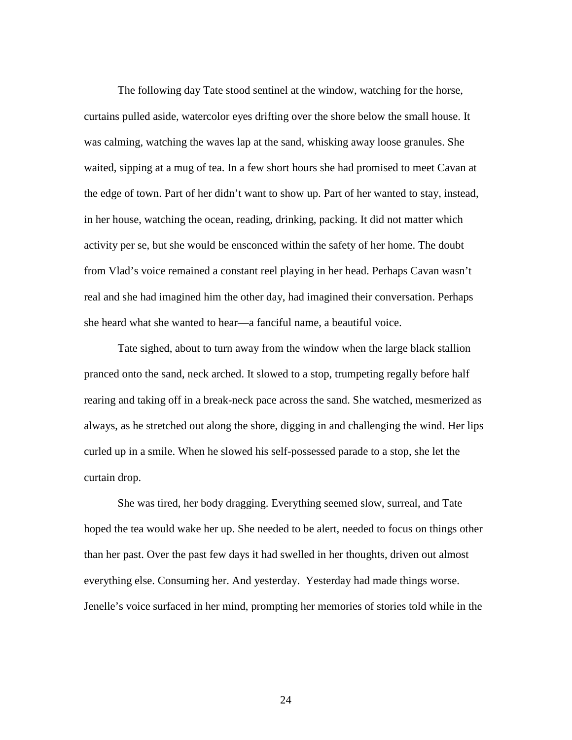The following day Tate stood sentinel at the window, watching for the horse, curtains pulled aside, watercolor eyes drifting over the shore below the small house. It was calming, watching the waves lap at the sand, whisking away loose granules. She waited, sipping at a mug of tea. In a few short hours she had promised to meet Cavan at the edge of town. Part of her didn't want to show up. Part of her wanted to stay, instead, in her house, watching the ocean, reading, drinking, packing. It did not matter which activity per se, but she would be ensconced within the safety of her home. The doubt from Vlad's voice remained a constant reel playing in her head. Perhaps Cavan wasn't real and she had imagined him the other day, had imagined their conversation. Perhaps she heard what she wanted to hear—a fanciful name, a beautiful voice.

Tate sighed, about to turn away from the window when the large black stallion pranced onto the sand, neck arched. It slowed to a stop, trumpeting regally before half rearing and taking off in a break-neck pace across the sand. She watched, mesmerized as always, as he stretched out along the shore, digging in and challenging the wind. Her lips curled up in a smile. When he slowed his self-possessed parade to a stop, she let the curtain drop.

She was tired, her body dragging. Everything seemed slow, surreal, and Tate hoped the tea would wake her up. She needed to be alert, needed to focus on things other than her past. Over the past few days it had swelled in her thoughts, driven out almost everything else. Consuming her. And yesterday. Yesterday had made things worse. Jenelle's voice surfaced in her mind, prompting her memories of stories told while in the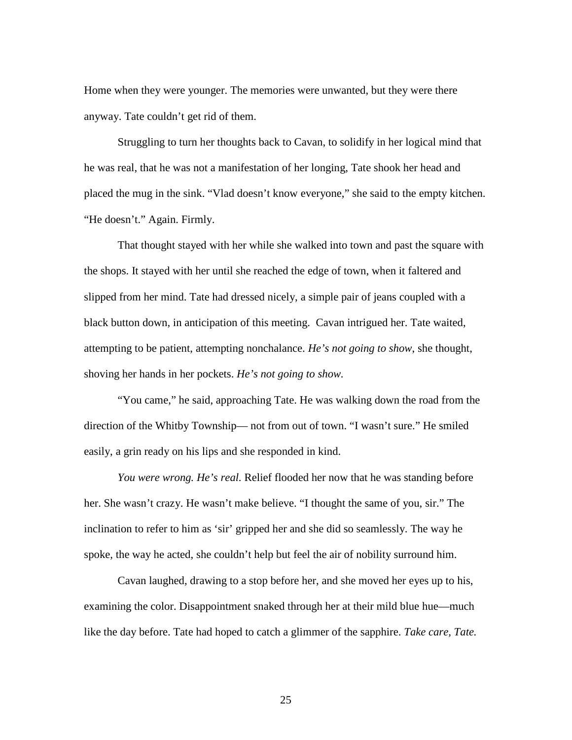Home when they were younger. The memories were unwanted, but they were there anyway. Tate couldn't get rid of them.

Struggling to turn her thoughts back to Cavan, to solidify in her logical mind that he was real, that he was not a manifestation of her longing, Tate shook her head and placed the mug in the sink. "Vlad doesn't know everyone," she said to the empty kitchen. "He doesn't." Again. Firmly.

That thought stayed with her while she walked into town and past the square with the shops. It stayed with her until she reached the edge of town, when it faltered and slipped from her mind. Tate had dressed nicely, a simple pair of jeans coupled with a black button down, in anticipation of this meeting. Cavan intrigued her. Tate waited, attempting to be patient, attempting nonchalance. *He's not going to show*, she thought, shoving her hands in her pockets. *He's not going to show.*

"You came," he said, approaching Tate. He was walking down the road from the direction of the Whitby Township— not from out of town. "I wasn't sure." He smiled easily, a grin ready on his lips and she responded in kind.

*You were wrong. He's real.* Relief flooded her now that he was standing before her. She wasn't crazy. He wasn't make believe. "I thought the same of you, sir." The inclination to refer to him as 'sir' gripped her and she did so seamlessly. The way he spoke, the way he acted, she couldn't help but feel the air of nobility surround him.

Cavan laughed, drawing to a stop before her, and she moved her eyes up to his, examining the color. Disappointment snaked through her at their mild blue hue—much like the day before. Tate had hoped to catch a glimmer of the sapphire. *Take care, Tate.*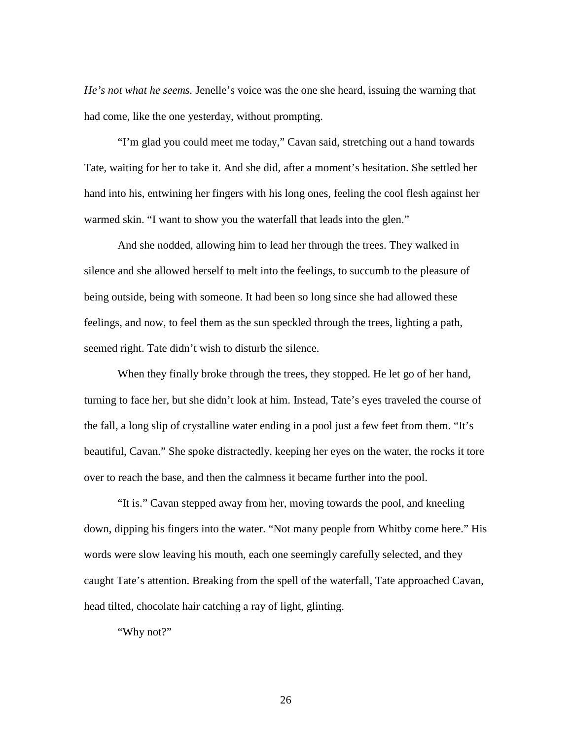*He's not what he seems.* Jenelle's voice was the one she heard, issuing the warning that had come, like the one yesterday, without prompting.

"I'm glad you could meet me today," Cavan said, stretching out a hand towards Tate, waiting for her to take it. And she did, after a moment's hesitation. She settled her hand into his, entwining her fingers with his long ones, feeling the cool flesh against her warmed skin. "I want to show you the waterfall that leads into the glen."

And she nodded, allowing him to lead her through the trees. They walked in silence and she allowed herself to melt into the feelings, to succumb to the pleasure of being outside, being with someone. It had been so long since she had allowed these feelings, and now, to feel them as the sun speckled through the trees, lighting a path, seemed right. Tate didn't wish to disturb the silence.

When they finally broke through the trees, they stopped. He let go of her hand, turning to face her, but she didn't look at him. Instead, Tate's eyes traveled the course of the fall, a long slip of crystalline water ending in a pool just a few feet from them. "It's beautiful, Cavan." She spoke distractedly, keeping her eyes on the water, the rocks it tore over to reach the base, and then the calmness it became further into the pool.

"It is." Cavan stepped away from her, moving towards the pool, and kneeling down, dipping his fingers into the water. "Not many people from Whitby come here." His words were slow leaving his mouth, each one seemingly carefully selected, and they caught Tate's attention. Breaking from the spell of the waterfall, Tate approached Cavan, head tilted, chocolate hair catching a ray of light, glinting.

"Why not?"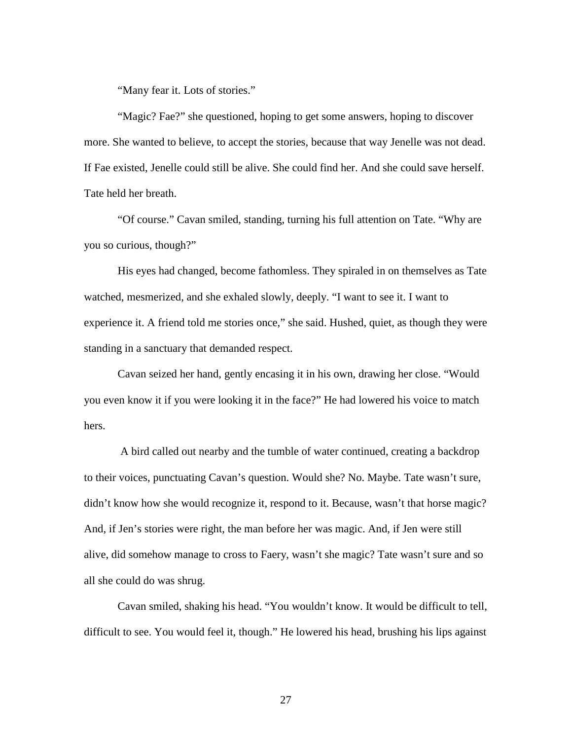"Many fear it. Lots of stories."

"Magic? Fae?" she questioned, hoping to get some answers, hoping to discover more. She wanted to believe, to accept the stories, because that way Jenelle was not dead. If Fae existed, Jenelle could still be alive. She could find her. And she could save herself. Tate held her breath.

"Of course." Cavan smiled, standing, turning his full attention on Tate. "Why are you so curious, though?"

His eyes had changed, become fathomless. They spiraled in on themselves as Tate watched, mesmerized, and she exhaled slowly, deeply. "I want to see it. I want to experience it. A friend told me stories once," she said. Hushed, quiet, as though they were standing in a sanctuary that demanded respect.

Cavan seized her hand, gently encasing it in his own, drawing her close. "Would you even know it if you were looking it in the face?" He had lowered his voice to match hers.

 A bird called out nearby and the tumble of water continued, creating a backdrop to their voices, punctuating Cavan's question. Would she? No. Maybe. Tate wasn't sure, didn't know how she would recognize it, respond to it. Because, wasn't that horse magic? And, if Jen's stories were right, the man before her was magic. And, if Jen were still alive, did somehow manage to cross to Faery, wasn't she magic? Tate wasn't sure and so all she could do was shrug.

Cavan smiled, shaking his head. "You wouldn't know. It would be difficult to tell, difficult to see. You would feel it, though." He lowered his head, brushing his lips against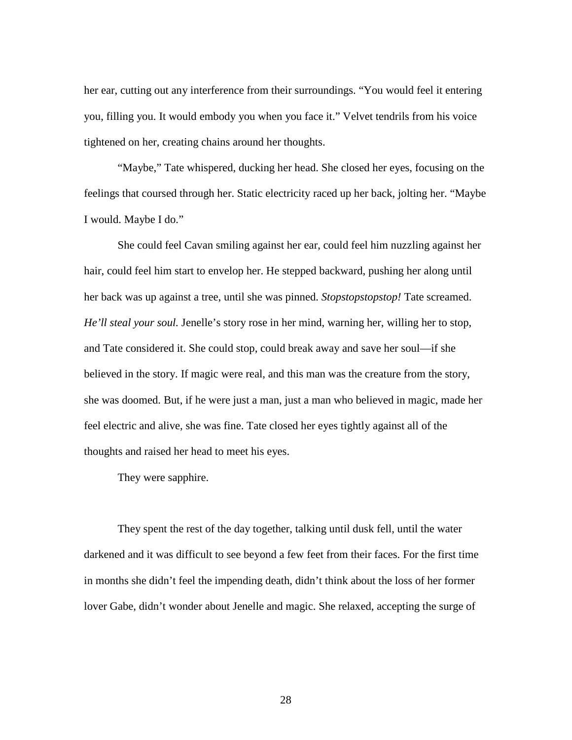her ear, cutting out any interference from their surroundings. "You would feel it entering you, filling you. It would embody you when you face it." Velvet tendrils from his voice tightened on her, creating chains around her thoughts.

"Maybe," Tate whispered, ducking her head. She closed her eyes, focusing on the feelings that coursed through her. Static electricity raced up her back, jolting her. "Maybe I would. Maybe I do."

She could feel Cavan smiling against her ear, could feel him nuzzling against her hair, could feel him start to envelop her. He stepped backward, pushing her along until her back was up against a tree, until she was pinned. *Stopstopstopstop!* Tate screamed. *He'll steal your soul.* Jenelle's story rose in her mind, warning her, willing her to stop, and Tate considered it. She could stop, could break away and save her soul—if she believed in the story. If magic were real, and this man was the creature from the story, she was doomed. But, if he were just a man, just a man who believed in magic, made her feel electric and alive, she was fine. Tate closed her eyes tightly against all of the thoughts and raised her head to meet his eyes.

They were sapphire.

They spent the rest of the day together, talking until dusk fell, until the water darkened and it was difficult to see beyond a few feet from their faces. For the first time in months she didn't feel the impending death, didn't think about the loss of her former lover Gabe, didn't wonder about Jenelle and magic. She relaxed, accepting the surge of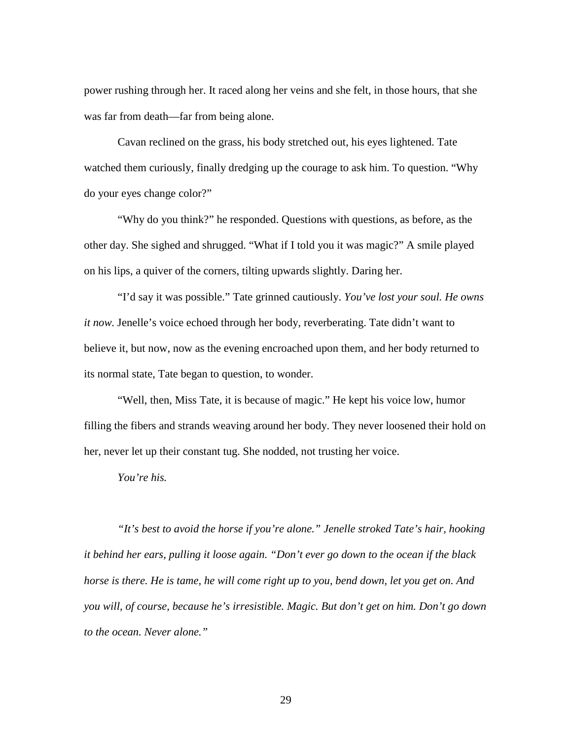power rushing through her. It raced along her veins and she felt, in those hours, that she was far from death—far from being alone.

Cavan reclined on the grass, his body stretched out, his eyes lightened. Tate watched them curiously, finally dredging up the courage to ask him. To question. "Why do your eyes change color?"

"Why do you think?" he responded. Questions with questions, as before, as the other day. She sighed and shrugged. "What if I told you it was magic?" A smile played on his lips, a quiver of the corners, tilting upwards slightly. Daring her.

"I'd say it was possible." Tate grinned cautiously. *You've lost your soul. He owns it now.* Jenelle's voice echoed through her body, reverberating. Tate didn't want to believe it, but now, now as the evening encroached upon them, and her body returned to its normal state, Tate began to question, to wonder.

"Well, then, Miss Tate, it is because of magic." He kept his voice low, humor filling the fibers and strands weaving around her body. They never loosened their hold on her, never let up their constant tug. She nodded, not trusting her voice.

*You're his.*

*"It's best to avoid the horse if you're alone." Jenelle stroked Tate's hair, hooking it behind her ears, pulling it loose again. "Don't ever go down to the ocean if the black horse is there. He is tame, he will come right up to you, bend down, let you get on. And you will, of course, because he's irresistible. Magic. But don't get on him. Don't go down to the ocean. Never alone."*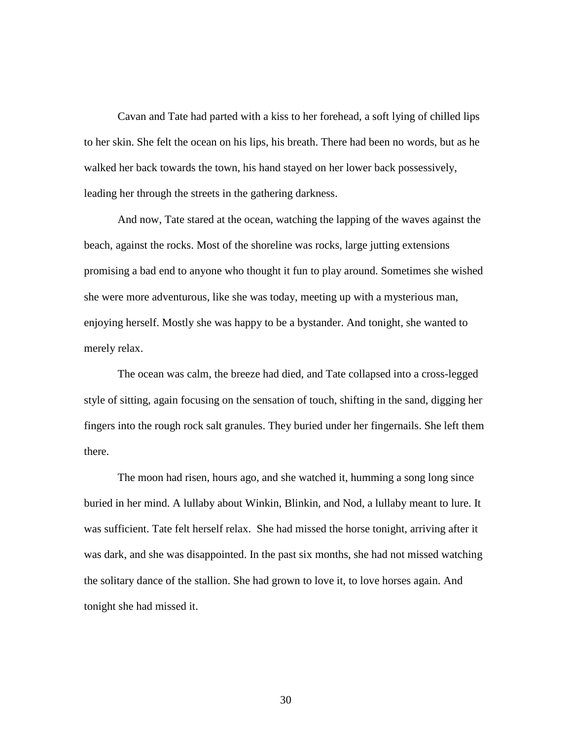Cavan and Tate had parted with a kiss to her forehead, a soft lying of chilled lips to her skin. She felt the ocean on his lips, his breath. There had been no words, but as he walked her back towards the town, his hand stayed on her lower back possessively, leading her through the streets in the gathering darkness.

And now, Tate stared at the ocean, watching the lapping of the waves against the beach, against the rocks. Most of the shoreline was rocks, large jutting extensions promising a bad end to anyone who thought it fun to play around. Sometimes she wished she were more adventurous, like she was today, meeting up with a mysterious man, enjoying herself. Mostly she was happy to be a bystander. And tonight, she wanted to merely relax.

The ocean was calm, the breeze had died, and Tate collapsed into a cross-legged style of sitting, again focusing on the sensation of touch, shifting in the sand, digging her fingers into the rough rock salt granules. They buried under her fingernails. She left them there.

The moon had risen, hours ago, and she watched it, humming a song long since buried in her mind. A lullaby about Winkin, Blinkin, and Nod, a lullaby meant to lure. It was sufficient. Tate felt herself relax. She had missed the horse tonight, arriving after it was dark, and she was disappointed. In the past six months, she had not missed watching the solitary dance of the stallion. She had grown to love it, to love horses again. And tonight she had missed it.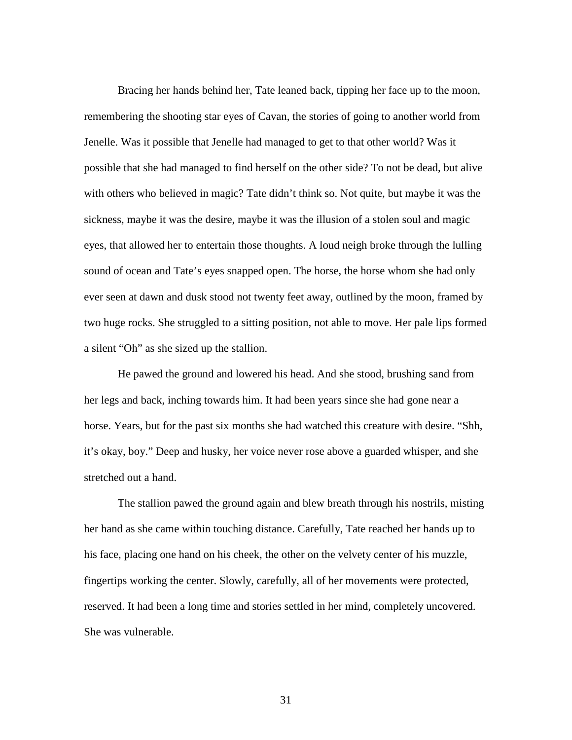Bracing her hands behind her, Tate leaned back, tipping her face up to the moon, remembering the shooting star eyes of Cavan, the stories of going to another world from Jenelle. Was it possible that Jenelle had managed to get to that other world? Was it possible that she had managed to find herself on the other side? To not be dead, but alive with others who believed in magic? Tate didn't think so. Not quite, but maybe it was the sickness, maybe it was the desire, maybe it was the illusion of a stolen soul and magic eyes, that allowed her to entertain those thoughts. A loud neigh broke through the lulling sound of ocean and Tate's eyes snapped open. The horse, the horse whom she had only ever seen at dawn and dusk stood not twenty feet away, outlined by the moon, framed by two huge rocks. She struggled to a sitting position, not able to move. Her pale lips formed a silent "Oh" as she sized up the stallion.

He pawed the ground and lowered his head. And she stood, brushing sand from her legs and back, inching towards him. It had been years since she had gone near a horse. Years, but for the past six months she had watched this creature with desire. "Shh, it's okay, boy." Deep and husky, her voice never rose above a guarded whisper, and she stretched out a hand.

The stallion pawed the ground again and blew breath through his nostrils, misting her hand as she came within touching distance. Carefully, Tate reached her hands up to his face, placing one hand on his cheek, the other on the velvety center of his muzzle, fingertips working the center. Slowly, carefully, all of her movements were protected, reserved. It had been a long time and stories settled in her mind, completely uncovered. She was vulnerable.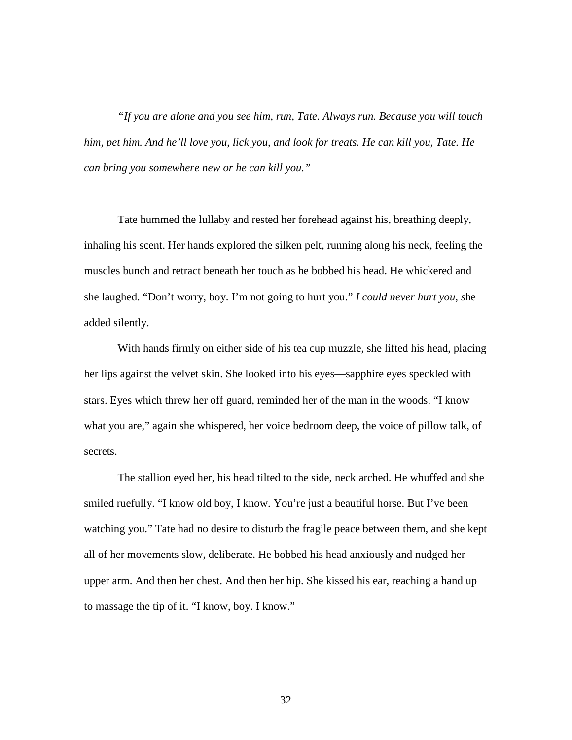*"If you are alone and you see him, run, Tate. Always run. Because you will touch him, pet him. And he'll love you, lick you, and look for treats. He can kill you, Tate. He can bring you somewhere new or he can kill you."* 

Tate hummed the lullaby and rested her forehead against his, breathing deeply, inhaling his scent. Her hands explored the silken pelt, running along his neck, feeling the muscles bunch and retract beneath her touch as he bobbed his head. He whickered and she laughed. "Don't worry, boy. I'm not going to hurt you." *I could never hurt you, s*he added silently.

With hands firmly on either side of his tea cup muzzle, she lifted his head, placing her lips against the velvet skin. She looked into his eyes—sapphire eyes speckled with stars. Eyes which threw her off guard, reminded her of the man in the woods. "I know what you are," again she whispered, her voice bedroom deep, the voice of pillow talk, of secrets.

The stallion eyed her, his head tilted to the side, neck arched. He whuffed and she smiled ruefully. "I know old boy, I know. You're just a beautiful horse. But I've been watching you." Tate had no desire to disturb the fragile peace between them, and she kept all of her movements slow, deliberate. He bobbed his head anxiously and nudged her upper arm. And then her chest. And then her hip. She kissed his ear, reaching a hand up to massage the tip of it. "I know, boy. I know."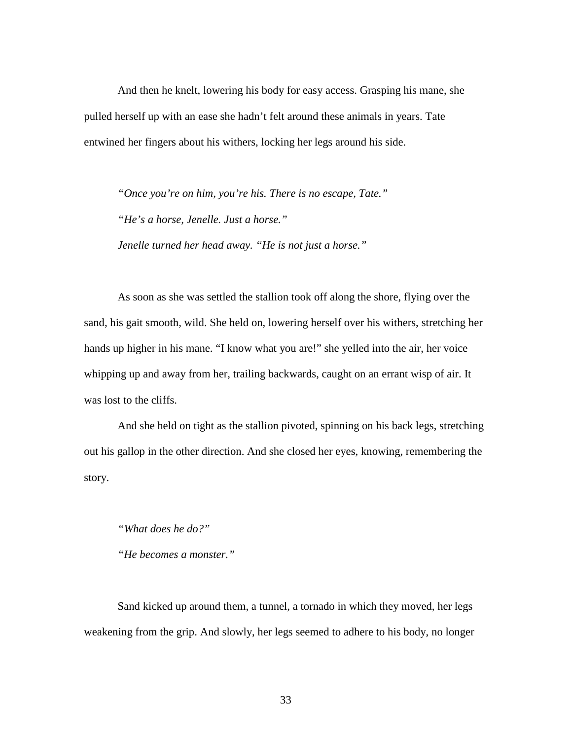And then he knelt, lowering his body for easy access. Grasping his mane, she pulled herself up with an ease she hadn't felt around these animals in years. Tate entwined her fingers about his withers, locking her legs around his side.

*"Once you're on him, you're his. There is no escape, Tate." "He's a horse, Jenelle. Just a horse." Jenelle turned her head away. "He is not just a horse."* 

As soon as she was settled the stallion took off along the shore, flying over the sand, his gait smooth, wild. She held on, lowering herself over his withers, stretching her hands up higher in his mane. "I know what you are!" she yelled into the air, her voice whipping up and away from her, trailing backwards, caught on an errant wisp of air. It was lost to the cliffs.

And she held on tight as the stallion pivoted, spinning on his back legs, stretching out his gallop in the other direction. And she closed her eyes, knowing, remembering the story.

*"What does he do?"* 

*"He becomes a monster."* 

Sand kicked up around them, a tunnel, a tornado in which they moved, her legs weakening from the grip. And slowly, her legs seemed to adhere to his body, no longer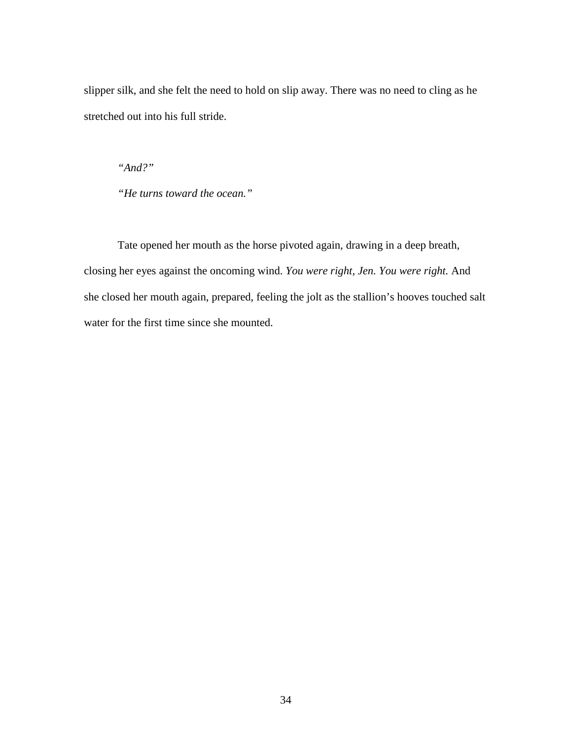slipper silk, and she felt the need to hold on slip away. There was no need to cling as he stretched out into his full stride.

*"And?"* 

*"He turns toward the ocean."* 

 Tate opened her mouth as the horse pivoted again, drawing in a deep breath, closing her eyes against the oncoming wind. *You were right, Jen. You were right.* And she closed her mouth again, prepared, feeling the jolt as the stallion's hooves touched salt water for the first time since she mounted.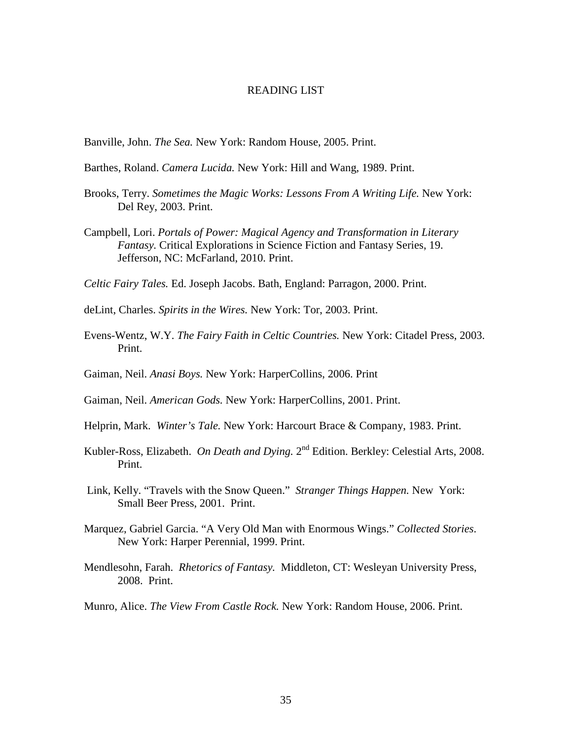#### READING LIST

Banville, John. *The Sea.* New York: Random House, 2005. Print.

- Barthes, Roland. *Camera Lucida.* New York: Hill and Wang, 1989. Print.
- Brooks, Terry. *Sometimes the Magic Works: Lessons From A Writing Life.* New York: Del Rey, 2003. Print.
- Campbell, Lori. *Portals of Power: Magical Agency and Transformation in Literary Fantasy.* Critical Explorations in Science Fiction and Fantasy Series, 19. Jefferson, NC: McFarland, 2010. Print.
- *Celtic Fairy Tales.* Ed. Joseph Jacobs. Bath, England: Parragon, 2000. Print.
- deLint, Charles. *Spirits in the Wires.* New York: Tor, 2003. Print.
- Evens-Wentz, W.Y. *The Fairy Faith in Celtic Countries.* New York: Citadel Press, 2003. Print.
- Gaiman, Neil. *Anasi Boys.* New York: HarperCollins, 2006. Print
- Gaiman, Neil. *American Gods.* New York: HarperCollins, 2001. Print.
- Helprin, Mark. *Winter's Tale.* New York: Harcourt Brace & Company, 1983. Print.
- Kubler-Ross, Elizabeth. *On Death and Dying*. 2<sup>nd</sup> Edition. Berkley: Celestial Arts, 2008. Print.
- Link, Kelly. "Travels with the Snow Queen." *Stranger Things Happen.* New York: Small Beer Press, 2001. Print.
- Marquez, Gabriel Garcia. "A Very Old Man with Enormous Wings." *Collected Stories*. New York: Harper Perennial, 1999. Print.
- Mendlesohn, Farah. *Rhetorics of Fantasy.* Middleton, CT: Wesleyan University Press, 2008. Print.
- Munro, Alice. *The View From Castle Rock.* New York: Random House, 2006. Print.